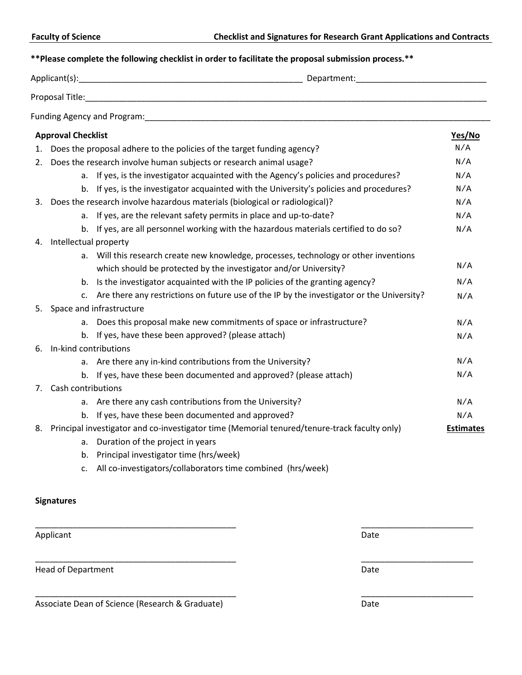## **\*\*Please complete the following checklist in order to facilitate the proposal submission process.\*\***

|    |                                                                                              | Department: Management Separtment:                                                        |                  |
|----|----------------------------------------------------------------------------------------------|-------------------------------------------------------------------------------------------|------------------|
|    |                                                                                              |                                                                                           |                  |
|    |                                                                                              |                                                                                           |                  |
|    | <b>Approval Checklist</b>                                                                    |                                                                                           | Yes/No           |
| 1. |                                                                                              | Does the proposal adhere to the policies of the target funding agency?                    | N/A              |
| 2. | Does the research involve human subjects or research animal usage?                           |                                                                                           |                  |
|    |                                                                                              | a. If yes, is the investigator acquainted with the Agency's policies and procedures?      | N/A              |
|    |                                                                                              | b. If yes, is the investigator acquainted with the University's policies and procedures?  | N/A              |
| 3. |                                                                                              | Does the research involve hazardous materials (biological or radiological)?               | N/A              |
|    |                                                                                              | a. If yes, are the relevant safety permits in place and up-to-date?                       | N/A              |
|    |                                                                                              | b. If yes, are all personnel working with the hazardous materials certified to do so?     | N/A              |
| 4. | Intellectual property                                                                        |                                                                                           |                  |
|    | а.                                                                                           | Will this research create new knowledge, processes, technology or other inventions        |                  |
|    |                                                                                              | which should be protected by the investigator and/or University?                          | N/A              |
|    | b.                                                                                           | Is the investigator acquainted with the IP policies of the granting agency?               | N/A              |
|    | $\mathsf{C}$ .                                                                               | Are there any restrictions on future use of the IP by the investigator or the University? | N/A              |
|    | 5. Space and infrastructure                                                                  |                                                                                           |                  |
|    |                                                                                              | a. Does this proposal make new commitments of space or infrastructure?                    | N/A              |
|    |                                                                                              | b. If yes, have these been approved? (please attach)                                      | N/A              |
| 6. | In-kind contributions                                                                        |                                                                                           |                  |
|    | а.                                                                                           | Are there any in-kind contributions from the University?                                  | N/A              |
|    |                                                                                              | b. If yes, have these been documented and approved? (please attach)                       | N/A              |
| 7. | Cash contributions                                                                           |                                                                                           |                  |
|    |                                                                                              | a. Are there any cash contributions from the University?                                  | N/A              |
|    | b.                                                                                           | If yes, have these been documented and approved?                                          | N/A              |
| 8. | Principal investigator and co-investigator time (Memorial tenured/tenure-track faculty only) |                                                                                           | <b>Estimates</b> |
|    | а.                                                                                           | Duration of the project in years                                                          |                  |
|    | b.                                                                                           | Principal investigator time (hrs/week)                                                    |                  |
|    | $C_{\star}$                                                                                  | All co-investigators/collaborators time combined (hrs/week)                               |                  |

\_\_\_\_\_\_\_\_\_\_\_\_\_\_\_\_\_\_\_\_\_\_\_\_\_\_\_\_\_\_\_\_\_\_\_\_\_\_\_\_\_\_\_ \_\_\_\_\_\_\_\_\_\_\_\_\_\_\_\_\_\_\_\_\_\_\_\_

\_\_\_\_\_\_\_\_\_\_\_\_\_\_\_\_\_\_\_\_\_\_\_\_\_\_\_\_\_\_\_\_\_\_\_\_\_\_\_\_\_\_\_ \_\_\_\_\_\_\_\_\_\_\_\_\_\_\_\_\_\_\_\_\_\_\_\_

\_\_\_\_\_\_\_\_\_\_\_\_\_\_\_\_\_\_\_\_\_\_\_\_\_\_\_\_\_\_\_\_\_\_\_\_\_\_\_\_\_\_\_ \_\_\_\_\_\_\_\_\_\_\_\_\_\_\_\_\_\_\_\_\_\_\_\_

## **Signatures**

Applicant Date

Head of Department Date

Associate Dean of Science (Research & Graduate) Date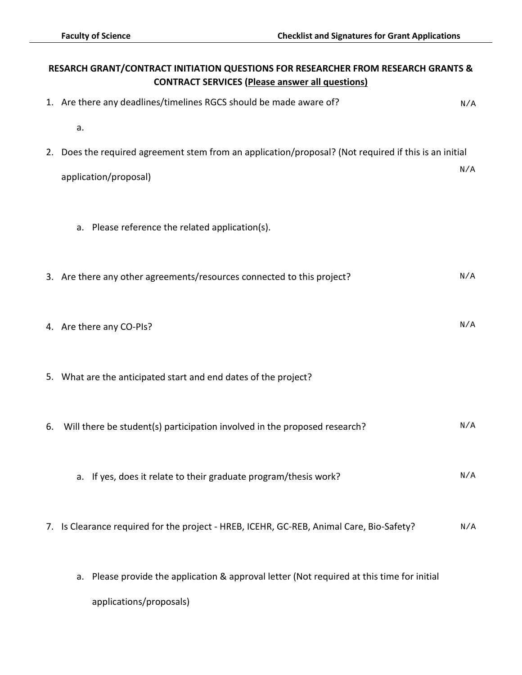| RESARCH GRANT/CONTRACT INITIATION QUESTIONS FOR RESEARCHER FROM RESEARCH GRANTS &<br><b>CONTRACT SERVICES (Please answer all questions)</b> |                                                                                                       |     |  |  |
|---------------------------------------------------------------------------------------------------------------------------------------------|-------------------------------------------------------------------------------------------------------|-----|--|--|
|                                                                                                                                             | 1. Are there any deadlines/timelines RGCS should be made aware of?                                    | N/A |  |  |
|                                                                                                                                             | a.                                                                                                    |     |  |  |
|                                                                                                                                             | 2. Does the required agreement stem from an application/proposal? (Not required if this is an initial |     |  |  |
|                                                                                                                                             | application/proposal)                                                                                 | N/A |  |  |
|                                                                                                                                             |                                                                                                       |     |  |  |
|                                                                                                                                             | a. Please reference the related application(s).                                                       |     |  |  |
|                                                                                                                                             |                                                                                                       |     |  |  |
|                                                                                                                                             | 3. Are there any other agreements/resources connected to this project?                                | N/A |  |  |
|                                                                                                                                             |                                                                                                       |     |  |  |
|                                                                                                                                             | 4. Are there any CO-PIs?                                                                              | N/A |  |  |
|                                                                                                                                             |                                                                                                       |     |  |  |
|                                                                                                                                             | 5. What are the anticipated start and end dates of the project?                                       |     |  |  |
|                                                                                                                                             |                                                                                                       |     |  |  |
| 6.                                                                                                                                          | Will there be student(s) participation involved in the proposed research?                             | N/A |  |  |
|                                                                                                                                             |                                                                                                       |     |  |  |
|                                                                                                                                             | a. If yes, does it relate to their graduate program/thesis work?                                      | N/A |  |  |
|                                                                                                                                             |                                                                                                       |     |  |  |
|                                                                                                                                             | 7. Is Clearance required for the project - HREB, ICEHR, GC-REB, Animal Care, Bio-Safety?              | N/A |  |  |
|                                                                                                                                             | a. Please provide the application & approval letter (Not required at this time for initial            |     |  |  |
|                                                                                                                                             | applications/proposals)                                                                               |     |  |  |